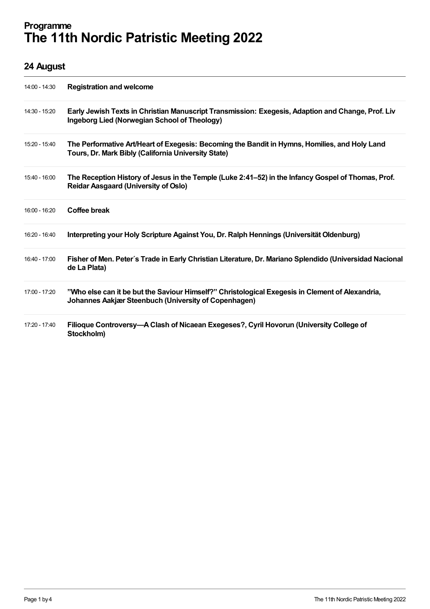## Programme The 11th Nordic Patristic Meeting 2022

## 24 August

| 14:00 - 14:30 | <b>Registration and welcome</b>                                                                                                                         |
|---------------|---------------------------------------------------------------------------------------------------------------------------------------------------------|
| 14:30 - 15:20 | Early Jewish Texts in Christian Manuscript Transmission: Exegesis, Adaption and Change, Prof. Liv<br>Ingeborg Lied (Norwegian School of Theology)       |
| 15:20 - 15:40 | The Performative Art/Heart of Exegesis: Becoming the Bandit in Hymns, Homilies, and Holy Land<br>Tours, Dr. Mark Bibly (California University State)    |
| 15:40 - 16:00 | The Reception History of Jesus in the Temple (Luke 2:41–52) in the Infancy Gospel of Thomas, Prof.<br><b>Reidar Aasgaard (University of Oslo)</b>       |
| 16:00 - 16:20 | <b>Coffee break</b>                                                                                                                                     |
| 16:20 - 16:40 | Interpreting your Holy Scripture Against You, Dr. Ralph Hennings (Universität Oldenburg)                                                                |
| 16:40 - 17:00 | Fisher of Men. Peter's Trade in Early Christian Literature, Dr. Mariano Splendido (Universidad Nacional<br>de La Plata)                                 |
| 17:00 - 17:20 | "Who else can it be but the Saviour Himself?" Christological Exegesis in Clement of Alexandria,<br>Johannes Aakjær Steenbuch (University of Copenhagen) |
| 17:20 - 17:40 | Filioque Controversy—A Clash of Nicaean Exegeses?, Cyril Hovorun (University College of<br>Stockholm)                                                   |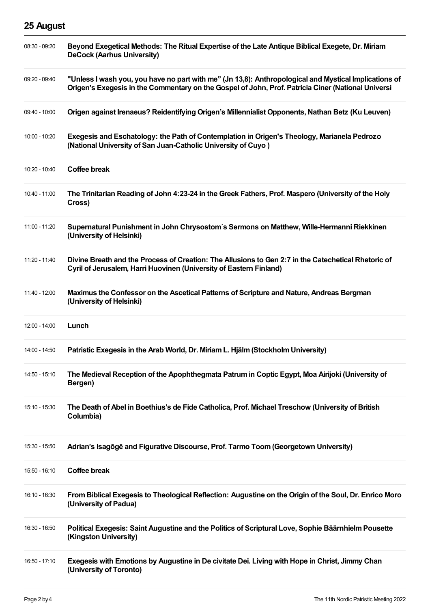## 25 August

| $08:30 - 09:20$ | Beyond Exegetical Methods: The Ritual Expertise of the Late Antique Biblical Exegete, Dr. Miriam<br><b>DeCock (Aarhus University)</b>                                                                       |
|-----------------|-------------------------------------------------------------------------------------------------------------------------------------------------------------------------------------------------------------|
| 09:20 - 09:40   | "Unless I wash you, you have no part with me" (Jn 13,8): Anthropological and Mystical Implications of<br>Origen's Exegesis in the Commentary on the Gospel of John, Prof. Patricia Ciner (National Universi |
| 09:40 - 10:00   | Origen against Irenaeus? Reidentifying Origen's Millennialist Opponents, Nathan Betz (Ku Leuven)                                                                                                            |
| 10:00 - 10:20   | Exegesis and Eschatology: the Path of Contemplation in Origen's Theology, Marianela Pedrozo<br>(National University of San Juan-Catholic University of Cuyo)                                                |
| 10:20 - 10:40   | <b>Coffee break</b>                                                                                                                                                                                         |
| $10:40 - 11:00$ | The Trinitarian Reading of John 4:23-24 in the Greek Fathers, Prof. Maspero (University of the Holy<br>Cross)                                                                                               |
| 11:00 - 11:20   | Supernatural Punishment in John Chrysostom's Sermons on Matthew, Wille-Hermanni Riekkinen<br>(University of Helsinki)                                                                                       |
| 11:20 - 11:40   | Divine Breath and the Process of Creation: The Allusions to Gen 2:7 in the Catechetical Rhetoric of<br>Cyril of Jerusalem, Harri Huovinen (University of Eastern Finland)                                   |
| 11:40 - 12:00   | Maximus the Confessor on the Ascetical Patterns of Scripture and Nature, Andreas Bergman<br>(University of Helsinki)                                                                                        |
|                 |                                                                                                                                                                                                             |
| 12:00 - 14:00   | Lunch                                                                                                                                                                                                       |
| 14:00 - 14:50   | Patristic Exegesis in the Arab World, Dr. Miriam L. Hjälm (Stockholm University)                                                                                                                            |
| 14:50 - 15:10   | The Medieval Reception of the Apophthegmata Patrum in Coptic Egypt, Moa Airijoki (University of<br>Bergen)                                                                                                  |
| 15:10 - 15:30   | The Death of Abel in Boethius's de Fide Catholica, Prof. Michael Treschow (University of British<br>Columbia)                                                                                               |
| 15:30 - 15:50   | Adrian's Isagoge and Figurative Discourse, Prof. Tarmo Toom (Georgetown University)                                                                                                                         |
| 15:50 - 16:10   | <b>Coffee break</b>                                                                                                                                                                                         |
| 16:10 - 16:30   | From Biblical Exegesis to Theological Reflection: Augustine on the Origin of the Soul, Dr. Enrico Moro<br>(University of Padua)                                                                             |
| 16:30 - 16:50   | Political Exegesis: Saint Augustine and the Politics of Scriptural Love, Sophie Bäärnhielm Pousette<br>(Kingston University)                                                                                |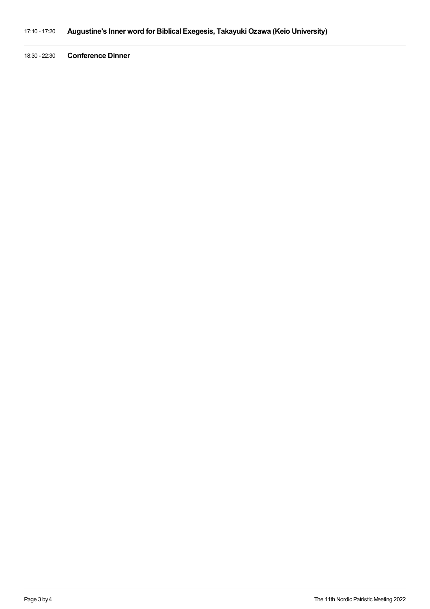17:10 - 17:20 Augustine's Inner word for Biblical Exegesis, Takayuki Ozawa (Keio University)

18:30 - 22:30 Conference Dinner